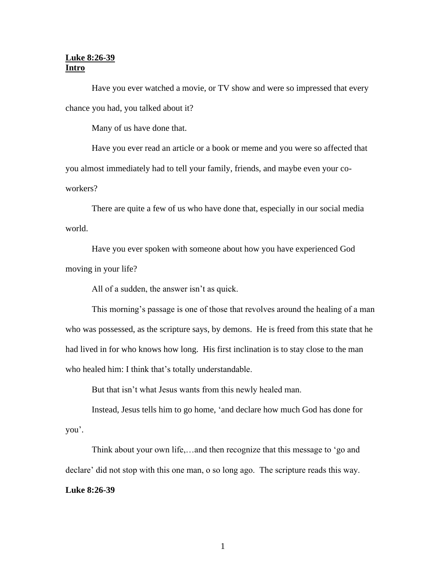## **Luke 8:26-39 Intro**

Have you ever watched a movie, or TV show and were so impressed that every chance you had, you talked about it?

Many of us have done that.

Have you ever read an article or a book or meme and you were so affected that you almost immediately had to tell your family, friends, and maybe even your coworkers?

There are quite a few of us who have done that, especially in our social media world.

Have you ever spoken with someone about how you have experienced God moving in your life?

All of a sudden, the answer isn't as quick.

This morning's passage is one of those that revolves around the healing of a man who was possessed, as the scripture says, by demons. He is freed from this state that he had lived in for who knows how long. His first inclination is to stay close to the man who healed him: I think that's totally understandable.

But that isn't what Jesus wants from this newly healed man.

Instead, Jesus tells him to go home, 'and declare how much God has done for you'.

Think about your own life,…and then recognize that this message to 'go and declare' did not stop with this one man, o so long ago. The scripture reads this way.

## **Luke 8:26-39**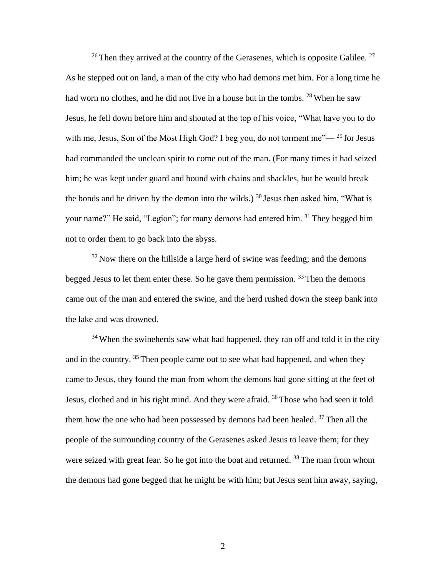<sup>26</sup> Then they arrived at the country of the Gerasenes, which is opposite Galilee.<sup>27</sup> As he stepped out on land, a man of the city who had demons met him. For a long time he had worn no clothes, and he did not live in a house but in the tombs.  $^{28}$  When he saw Jesus, he fell down before him and shouted at the top of his voice, "What have you to do with me, Jesus, Son of the Most High God? I beg you, do not torment me"— $^{29}$  for Jesus had commanded the unclean spirit to come out of the man. (For many times it had seized him; he was kept under guard and bound with chains and shackles, but he would break the bonds and be driven by the demon into the wilds.)  $30$  Jesus then asked him, "What is your name?" He said, "Legion"; for many demons had entered him. <sup>31</sup> They begged him not to order them to go back into the abyss.

 $32$  Now there on the hillside a large herd of swine was feeding; and the demons begged Jesus to let them enter these. So he gave them permission.  $33$  Then the demons came out of the man and entered the swine, and the herd rushed down the steep bank into the lake and was drowned.

 $34$  When the swineherds saw what had happened, they ran off and told it in the city and in the country. <sup>35</sup> Then people came out to see what had happened, and when they came to Jesus, they found the man from whom the demons had gone sitting at the feet of Jesus, clothed and in his right mind. And they were afraid.  $36$  Those who had seen it told them how the one who had been possessed by demons had been healed.  $37$  Then all the people of the surrounding country of the Gerasenes asked Jesus to leave them; for they were seized with great fear. So he got into the boat and returned. <sup>38</sup> The man from whom the demons had gone begged that he might be with him; but Jesus sent him away, saying,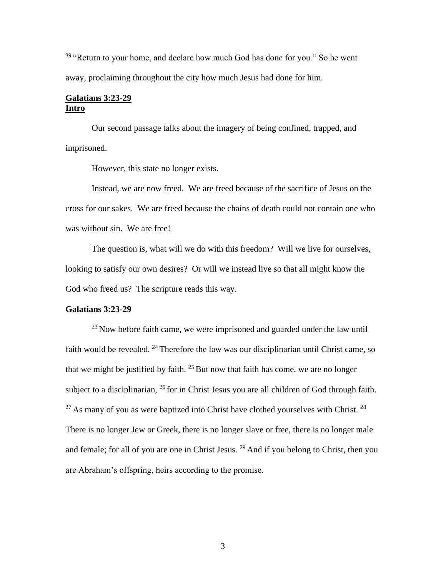$39$  "Return to your home, and declare how much God has done for you." So he went away, proclaiming throughout the city how much Jesus had done for him.

### **Galatians 3:23-29 Intro**

Our second passage talks about the imagery of being confined, trapped, and imprisoned.

However, this state no longer exists.

Instead, we are now freed. We are freed because of the sacrifice of Jesus on the cross for our sakes. We are freed because the chains of death could not contain one who was without sin. We are free!

The question is, what will we do with this freedom? Will we live for ourselves, looking to satisfy our own desires? Or will we instead live so that all might know the God who freed us? The scripture reads this way.

### **Galatians 3:23-29**

 $^{23}$  Now before faith came, we were imprisoned and guarded under the law until faith would be revealed.  $^{24}$  Therefore the law was our disciplinarian until Christ came, so that we might be justified by faith.  $25$  But now that faith has come, we are no longer subject to a disciplinarian,  $^{26}$  for in Christ Jesus you are all children of God through faith.  $27$  As many of you as were baptized into Christ have clothed yourselves with Christ.  $28$ There is no longer Jew or Greek, there is no longer slave or free, there is no longer male and female; for all of you are one in Christ Jesus.  $29$  And if you belong to Christ, then you are Abraham's offspring, heirs according to the promise.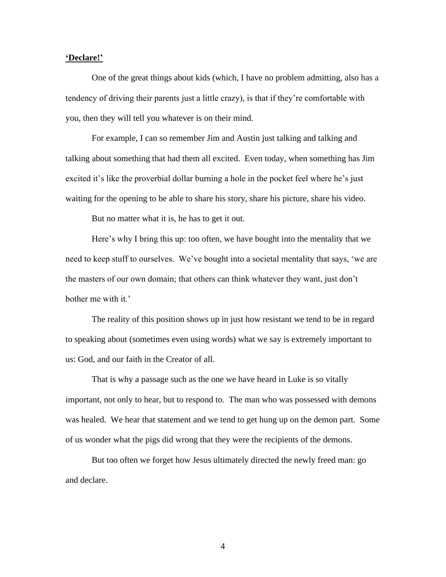#### **'Declare!'**

One of the great things about kids (which, I have no problem admitting, also has a tendency of driving their parents just a little crazy), is that if they're comfortable with you, then they will tell you whatever is on their mind.

For example, I can so remember Jim and Austin just talking and talking and talking about something that had them all excited. Even today, when something has Jim excited it's like the proverbial dollar burning a hole in the pocket feel where he's just waiting for the opening to be able to share his story, share his picture, share his video.

But no matter what it is, he has to get it out.

Here's why I bring this up: too often, we have bought into the mentality that we need to keep stuff to ourselves. We've bought into a societal mentality that says, 'we are the masters of our own domain; that others can think whatever they want, just don't bother me with it.'

The reality of this position shows up in just how resistant we tend to be in regard to speaking about (sometimes even using words) what we say is extremely important to us: God, and our faith in the Creator of all.

That is why a passage such as the one we have heard in Luke is so vitally important, not only to hear, but to respond to. The man who was possessed with demons was healed. We hear that statement and we tend to get hung up on the demon part. Some of us wonder what the pigs did wrong that they were the recipients of the demons.

But too often we forget how Jesus ultimately directed the newly freed man: go and declare.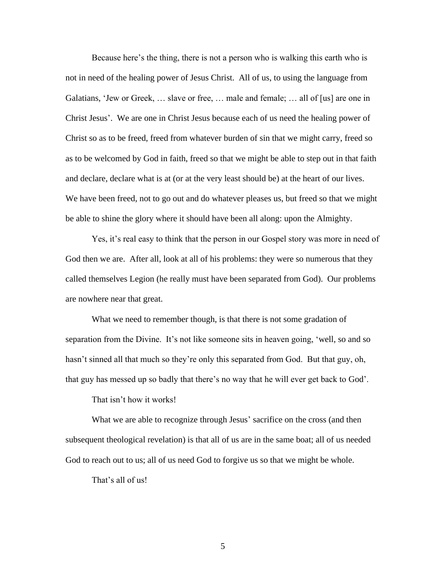Because here's the thing, there is not a person who is walking this earth who is not in need of the healing power of Jesus Christ. All of us, to using the language from Galatians, 'Jew or Greek, … slave or free, … male and female; … all of [us] are one in Christ Jesus'. We are one in Christ Jesus because each of us need the healing power of Christ so as to be freed, freed from whatever burden of sin that we might carry, freed so as to be welcomed by God in faith, freed so that we might be able to step out in that faith and declare, declare what is at (or at the very least should be) at the heart of our lives. We have been freed, not to go out and do whatever pleases us, but freed so that we might be able to shine the glory where it should have been all along: upon the Almighty.

Yes, it's real easy to think that the person in our Gospel story was more in need of God then we are. After all, look at all of his problems: they were so numerous that they called themselves Legion (he really must have been separated from God). Our problems are nowhere near that great.

What we need to remember though, is that there is not some gradation of separation from the Divine. It's not like someone sits in heaven going, 'well, so and so hasn't sinned all that much so they're only this separated from God. But that guy, oh, that guy has messed up so badly that there's no way that he will ever get back to God'.

That isn't how it works!

What we are able to recognize through Jesus' sacrifice on the cross (and then subsequent theological revelation) is that all of us are in the same boat; all of us needed God to reach out to us; all of us need God to forgive us so that we might be whole.

That's all of us!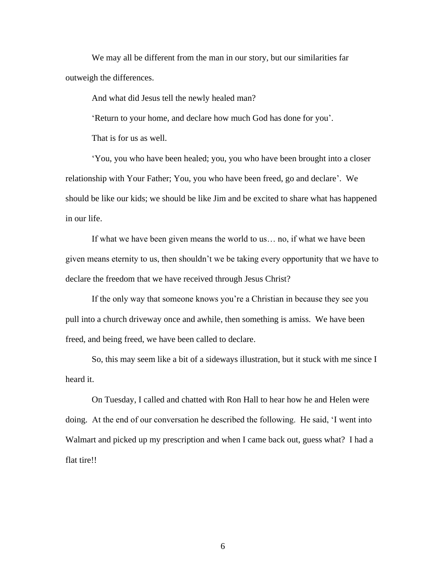We may all be different from the man in our story, but our similarities far outweigh the differences.

And what did Jesus tell the newly healed man?

'Return to your home, and declare how much God has done for you'.

That is for us as well.

'You, you who have been healed; you, you who have been brought into a closer relationship with Your Father; You, you who have been freed, go and declare'. We should be like our kids; we should be like Jim and be excited to share what has happened in our life.

If what we have been given means the world to us… no, if what we have been given means eternity to us, then shouldn't we be taking every opportunity that we have to declare the freedom that we have received through Jesus Christ?

If the only way that someone knows you're a Christian in because they see you pull into a church driveway once and awhile, then something is amiss. We have been freed, and being freed, we have been called to declare.

So, this may seem like a bit of a sideways illustration, but it stuck with me since I heard it.

On Tuesday, I called and chatted with Ron Hall to hear how he and Helen were doing. At the end of our conversation he described the following. He said, 'I went into Walmart and picked up my prescription and when I came back out, guess what? I had a flat tire!!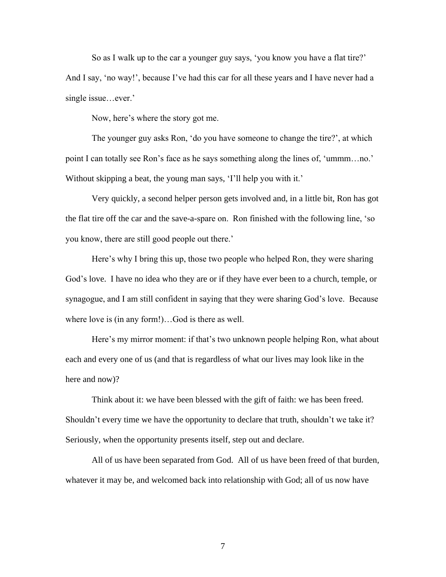So as I walk up to the car a younger guy says, 'you know you have a flat tire?' And I say, 'no way!', because I've had this car for all these years and I have never had a single issue…ever.'

Now, here's where the story got me.

The younger guy asks Ron, 'do you have someone to change the tire?', at which point I can totally see Ron's face as he says something along the lines of, 'ummm…no.' Without skipping a beat, the young man says, 'I'll help you with it.'

Very quickly, a second helper person gets involved and, in a little bit, Ron has got the flat tire off the car and the save-a-spare on. Ron finished with the following line, 'so you know, there are still good people out there.'

Here's why I bring this up, those two people who helped Ron, they were sharing God's love. I have no idea who they are or if they have ever been to a church, temple, or synagogue, and I am still confident in saying that they were sharing God's love. Because where love is (in any form!)…God is there as well.

Here's my mirror moment: if that's two unknown people helping Ron, what about each and every one of us (and that is regardless of what our lives may look like in the here and now)?

Think about it: we have been blessed with the gift of faith: we has been freed. Shouldn't every time we have the opportunity to declare that truth, shouldn't we take it? Seriously, when the opportunity presents itself, step out and declare.

All of us have been separated from God. All of us have been freed of that burden, whatever it may be, and welcomed back into relationship with God; all of us now have